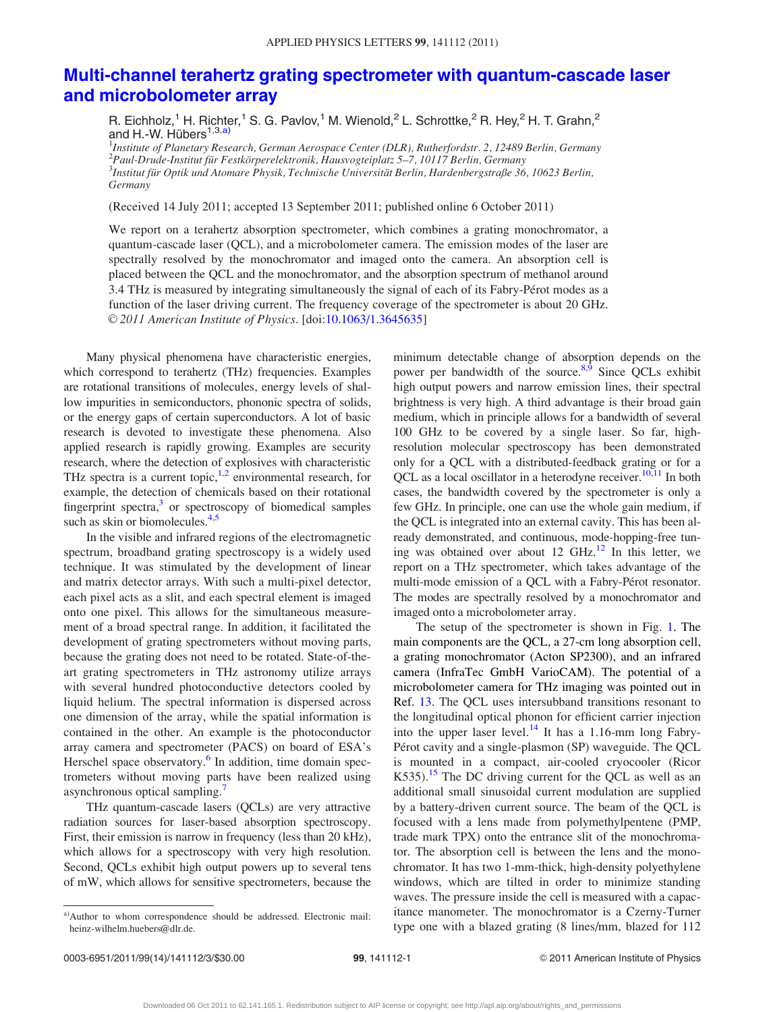## [Multi-channel terahertz grating spectrometer with quantum-cascade laser](http://dx.doi.org/10.1063/1.3645635) [and microbolometer array](http://dx.doi.org/10.1063/1.3645635)

R. Eichholz,<sup>1</sup> H. Richter,<sup>1</sup> S. G. Pavlov,<sup>1</sup> M. Wienold,<sup>2</sup> L. Schrottke,<sup>2</sup> R. Hey,<sup>2</sup> H. T. Grahn,<sup>2</sup> and H.-W. Hübers $^{1,3,a)}$ 

<sup>1</sup>Institute of Planetary Research, German Aerospace Center (DLR), Rutherfordstr. 2, 12489 Berlin, Germany <sup>2</sup> Paul-Drude-Institut für Festkörperelektronik, Hausvogteiplatz 5–7, 10117 Berlin, Germany<br><sup>3</sup>Institut für Optik und Atomare Physik Technische Universität Berlin, Hardenbergstraße 36  ${}^{3}$ Institut für Optik und Atomare Physik, Technische Universität Berlin, Hardenbergstraße 36, 10623 Berlin, Germany

(Received 14 July 2011; accepted 13 September 2011; published online 6 October 2011)

We report on a terahertz absorption spectrometer, which combines a grating monochromator, a quantum-cascade laser (QCL), and a microbolometer camera. The emission modes of the laser are spectrally resolved by the monochromator and imaged onto the camera. An absorption cell is placed between the QCL and the monochromator, and the absorption spectrum of methanol around 3.4 THz is measured by integrating simultaneously the signal of each of its Fabry-Pérot modes as a function of the laser driving current. The frequency coverage of the spectrometer is about 20 GHz. V<sup>C</sup> 2011 American Institute of Physics. [doi:[10.1063/1.3645635](http://dx.doi.org/10.1063/1.3645635)]

Many physical phenomena have characteristic energies, which correspond to terahertz (THz) frequencies. Examples are rotational transitions of molecules, energy levels of shallow impurities in semiconductors, phononic spectra of solids, or the energy gaps of certain superconductors. A lot of basic research is devoted to investigate these phenomena. Also applied research is rapidly growing. Examples are security research, where the detection of explosives with characteristic THz spectra is a current topic,<sup>1,2</sup> environmental research, for example, the detection of chemicals based on their rotational fingerprint spectra, $3$  or spectroscopy of biomedical samples such as skin or biomolecules. $4,5$ 

In the visible and infrared regions of the electromagnetic spectrum, broadband grating spectroscopy is a widely used technique. It was stimulated by the development of linear and matrix detector arrays. With such a multi-pixel detector, each pixel acts as a slit, and each spectral element is imaged onto one pixel. This allows for the simultaneous measurement of a broad spectral range. In addition, it facilitated the development of grating spectrometers without moving parts, because the grating does not need to be rotated. State-of-theart grating spectrometers in THz astronomy utilize arrays with several hundred photoconductive detectors cooled by liquid helium. The spectral information is dispersed across one dimension of the array, while the spatial information is contained in the other. An example is the photoconductor array camera and spectrometer (PACS) on board of ESA's Herschel space observatory.<sup>[6](#page-2-0)</sup> In addition, time domain spectrometers without moving parts have been realized using asynchronous optical sampling.<sup>[7](#page-2-0)</sup>

THz quantum-cascade lasers (QCLs) are very attractive radiation sources for laser-based absorption spectroscopy. First, their emission is narrow in frequency (less than 20 kHz), which allows for a spectroscopy with very high resolution. Second, QCLs exhibit high output powers up to several tens of mW, which allows for sensitive spectrometers, because the minimum detectable change of absorption depends on the power per bandwidth of the source.<sup>8,9</sup> Since QCLs exhibit high output powers and narrow emission lines, their spectral brightness is very high. A third advantage is their broad gain medium, which in principle allows for a bandwidth of several 100 GHz to be covered by a single laser. So far, highresolution molecular spectroscopy has been demonstrated only for a QCL with a distributed-feedback grating or for a QCL as a local oscillator in a heterodyne receiver.<sup>[10,11](#page-2-0)</sup> In both cases, the bandwidth covered by the spectrometer is only a few GHz. In principle, one can use the whole gain medium, if the QCL is integrated into an external cavity. This has been already demonstrated, and continuous, mode-hopping-free tuning was obtained over about 12 GHz. $^{12}$  In this letter, we report on a THz spectrometer, which takes advantage of the multi-mode emission of a QCL with a Fabry-Pérot resonator. The modes are spectrally resolved by a monochromator and imaged onto a microbolometer array.

The setup of the spectrometer is shown in Fig. [1.](#page-1-0) The main components are the QCL, a 27-cm long absorption cell, a grating monochromator (Acton SP2300), and an infrared camera (InfraTec GmbH VarioCAM). The potential of a microbolometer camera for THz imaging was pointed out in Ref. [13.](#page-2-0) The QCL uses intersubband transitions resonant to the longitudinal optical phonon for efficient carrier injection into the upper laser level.<sup>[14](#page-2-0)</sup> It has a 1.16-mm long Fabry-Pérot cavity and a single-plasmon (SP) waveguide. The QCL is mounted in a compact, air-cooled cryocooler (Ricor  $K535$ ).<sup>[15](#page-2-0)</sup> The DC driving current for the QCL as well as an additional small sinusoidal current modulation are supplied by a battery-driven current source. The beam of the QCL is focused with a lens made from polymethylpentene (PMP, trade mark TPX) onto the entrance slit of the monochromator. The absorption cell is between the lens and the monochromator. It has two 1-mm-thick, high-density polyethylene windows, which are tilted in order to minimize standing waves. The pressure inside the cell is measured with a capacitance manometer. The monochromator is a Czerny-Turner type one with a blazed grating (8 lines/mm, blazed for 112

a)Author to whom correspondence should be addressed. Electronic mail: heinz-wilhelm.huebers@dlr.de.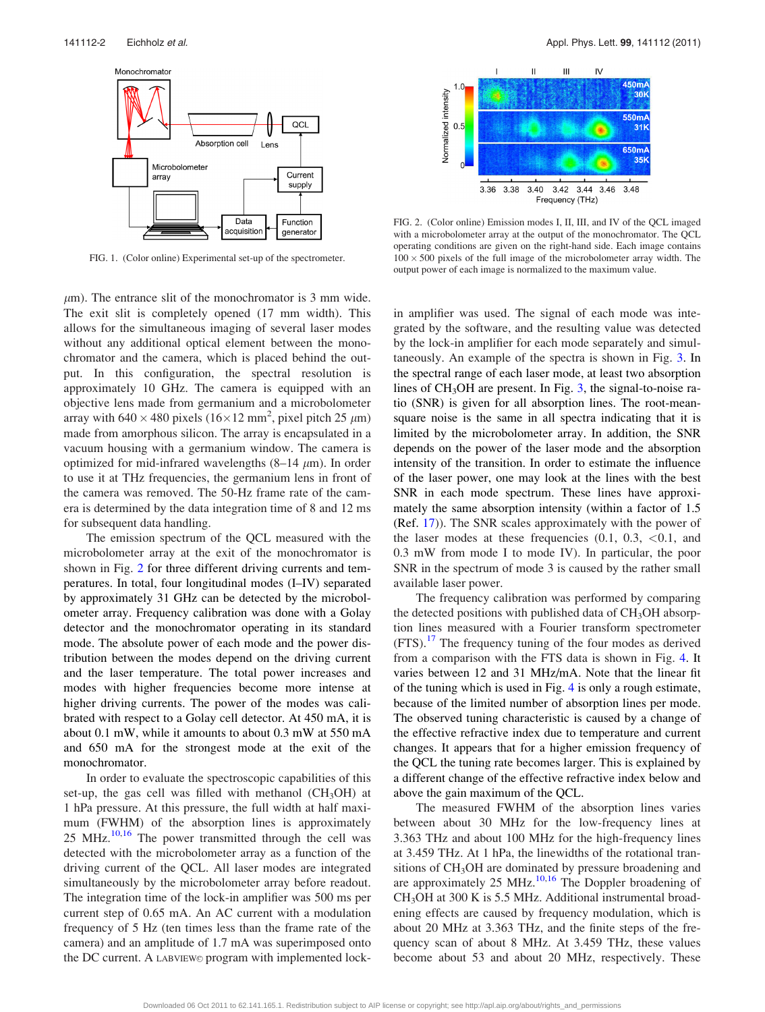<span id="page-1-0"></span>

FIG. 1. (Color online) Experimental set-up of the spectrometer.

 $\mu$ m). The entrance slit of the monochromator is 3 mm wide. The exit slit is completely opened (17 mm width). This allows for the simultaneous imaging of several laser modes without any additional optical element between the monochromator and the camera, which is placed behind the output. In this configuration, the spectral resolution is approximately 10 GHz. The camera is equipped with an objective lens made from germanium and a microbolometer array with  $640 \times 480$  pixels  $(16 \times 12 \text{ mm}^2, \text{pixel pitch } 25 \text{ }\mu\text{m})$ made from amorphous silicon. The array is encapsulated in a vacuum housing with a germanium window. The camera is optimized for mid-infrared wavelengths  $(8-14 \mu m)$ . In order to use it at THz frequencies, the germanium lens in front of the camera was removed. The 50-Hz frame rate of the camera is determined by the data integration time of 8 and 12 ms for subsequent data handling.

The emission spectrum of the QCL measured with the microbolometer array at the exit of the monochromator is shown in Fig. 2 for three different driving currents and temperatures. In total, four longitudinal modes (I–IV) separated by approximately 31 GHz can be detected by the microbolometer array. Frequency calibration was done with a Golay detector and the monochromator operating in its standard mode. The absolute power of each mode and the power distribution between the modes depend on the driving current and the laser temperature. The total power increases and modes with higher frequencies become more intense at higher driving currents. The power of the modes was calibrated with respect to a Golay cell detector. At 450 mA, it is about 0.1 mW, while it amounts to about 0.3 mW at 550 mA and 650 mA for the strongest mode at the exit of the monochromator.

In order to evaluate the spectroscopic capabilities of this set-up, the gas cell was filled with methanol  $(CH_3OH)$  at 1 hPa pressure. At this pressure, the full width at half maximum (FWHM) of the absorption lines is approximately  $25$  MHz.<sup>[10](#page-2-0),[16](#page-2-0)</sup> The power transmitted through the cell was detected with the microbolometer array as a function of the driving current of the QCL. All laser modes are integrated simultaneously by the microbolometer array before readout. The integration time of the lock-in amplifier was 500 ms per current step of 0.65 mA. An AC current with a modulation frequency of 5 Hz (ten times less than the frame rate of the camera) and an amplitude of 1.7 mA was superimposed onto the DC current. A LABVIEW© program with implemented lock-



FIG. 2. (Color online) Emission modes I, II, III, and IV of the QCL imaged with a microbolometer array at the output of the monochromator. The QCL operating conditions are given on the right-hand side. Each image contains  $100 \times 500$  pixels of the full image of the microbolometer array width. The output power of each image is normalized to the maximum value.

in amplifier was used. The signal of each mode was integrated by the software, and the resulting value was detected by the lock-in amplifier for each mode separately and simultaneously. An example of the spectra is shown in Fig. [3.](#page-2-0) In the spectral range of each laser mode, at least two absorption lines of  $CH<sub>3</sub>OH$  $CH<sub>3</sub>OH$  $CH<sub>3</sub>OH$  are present. In Fig. 3, the signal-to-noise ratio (SNR) is given for all absorption lines. The root-meansquare noise is the same in all spectra indicating that it is limited by the microbolometer array. In addition, the SNR depends on the power of the laser mode and the absorption intensity of the transition. In order to estimate the influence of the laser power, one may look at the lines with the best SNR in each mode spectrum. These lines have approximately the same absorption intensity (within a factor of 1.5 (Ref. [17](#page-2-0))). The SNR scales approximately with the power of the laser modes at these frequencies  $(0.1, 0.3, < 0.1,$  and 0.3 mW from mode I to mode IV). In particular, the poor SNR in the spectrum of mode 3 is caused by the rather small available laser power.

The frequency calibration was performed by comparing the detected positions with published data of  $CH<sub>3</sub>OH$  absorption lines measured with a Fourier transform spectrometer  $(FTS).$ <sup>[17](#page-2-0)</sup> The frequency tuning of the four modes as derived from a comparison with the FTS data is shown in Fig. [4.](#page-2-0) It varies between 12 and 31 MHz/mA. Note that the linear fit of the tuning which is used in Fig. [4](#page-2-0) is only a rough estimate, because of the limited number of absorption lines per mode. The observed tuning characteristic is caused by a change of the effective refractive index due to temperature and current changes. It appears that for a higher emission frequency of the QCL the tuning rate becomes larger. This is explained by a different change of the effective refractive index below and above the gain maximum of the QCL.

The measured FWHM of the absorption lines varies between about 30 MHz for the low-frequency lines at 3.363 THz and about 100 MHz for the high-frequency lines at 3.459 THz. At 1 hPa, the linewidths of the rotational transitions of CH<sub>3</sub>OH are dominated by pressure broadening and are approximately 25 MHz. $10,16$  $10,16$  $10,16$  The Doppler broadening of CH3OH at 300 K is 5.5 MHz. Additional instrumental broadening effects are caused by frequency modulation, which is about 20 MHz at 3.363 THz, and the finite steps of the frequency scan of about 8 MHz. At 3.459 THz, these values become about 53 and about 20 MHz, respectively. These